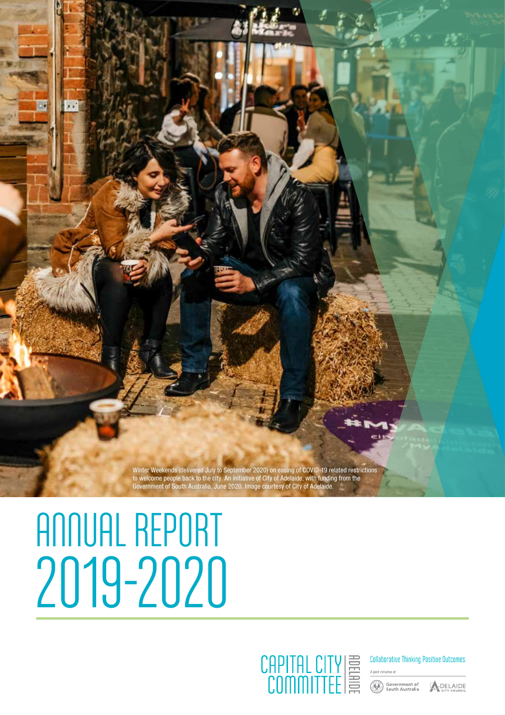Winter Weekends (delivered July to September 2020) on easing of COVID-19 related restrictions to welcome people back to the city. An initiative of City of Adelaide, with funding from the Government of South Australia, June 2020. Image courtesy of City of Adelaide.

# ANNUAL REPORT 2019-2020



**Collaborative Thinking Positive Outcomes.** 

Government of<br>South Australia

ADELAIDE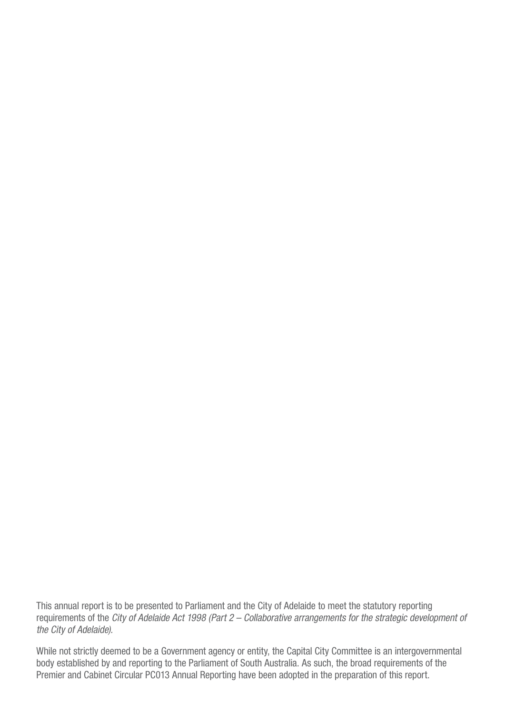This annual report is to be presented to Parliament and the City of Adelaide to meet the statutory reporting requirements of the City of Adelaide Act 1998 (Part 2 – Collaborative arrangements for the strategic development of the City of Adelaide).

While not strictly deemed to be a Government agency or entity, the Capital City Committee is an intergovernmental body established by and reporting to the Parliament of South Australia. As such, the broad requirements of the Premier and Cabinet Circular PC013 Annual Reporting have been adopted in the preparation of this report.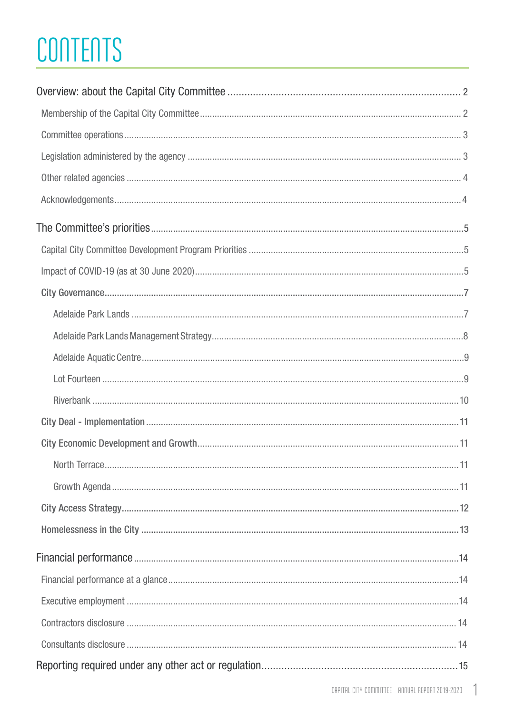## CONTENTS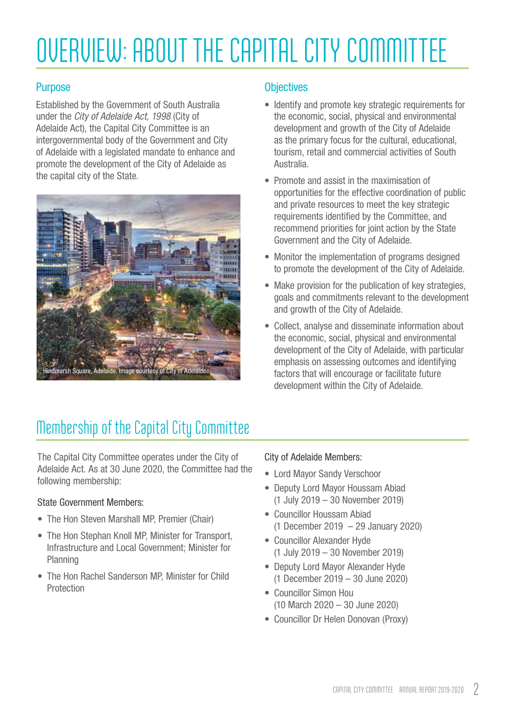## <span id="page-3-0"></span>OVERVIEW: ABOUT THE CAPITAL CITY COMMITTEE

#### Purpose

Established by the Government of South Australia under the City of Adelaide Act, 1998 (City of Adelaide Act), the Capital City Committee is an intergovernmental body of the Government and City of Adelaide with a legislated mandate to enhance and promote the development of the City of Adelaide as the capital city of the State.



#### **Objectives**

- Identify and promote key strategic requirements for the economic, social, physical and environmental development and growth of the City of Adelaide as the primary focus for the cultural, educational, tourism, retail and commercial activities of South Australia.
- Promote and assist in the maximisation of opportunities for the effective coordination of public and private resources to meet the key strategic requirements identified by the Committee, and recommend priorities for joint action by the State Government and the City of Adelaide.
- Monitor the implementation of programs designed to promote the development of the City of Adelaide.
- Make provision for the publication of key strategies, goals and commitments relevant to the development and growth of the City of Adelaide.
- Collect, analyse and disseminate information about the economic, social, physical and environmental development of the City of Adelaide, with particular emphasis on assessing outcomes and identifying factors that will encourage or facilitate future development within the City of Adelaide.

## Membership of the Capital City Committee

The Capital City Committee operates under the City of Adelaide Act. As at 30 June 2020, the Committee had the following membership:

#### State Government Members:

- The Hon Steven Marshall MP, Premier (Chair)
- The Hon Stephan Knoll MP, Minister for Transport, Infrastructure and Local Government; Minister for **Planning**
- The Hon Rachel Sanderson MP, Minister for Child Protection

#### City of Adelaide Members:

- Lord Mayor Sandy Verschoor
- Deputy Lord Mayor Houssam Abiad (1 July 2019 – 30 November 2019)
- Councillor Houssam Abiad (1 December 2019 – 29 January 2020)
- Councillor Alexander Hyde (1 July 2019 – 30 November 2019)
- Deputy Lord Mayor Alexander Hyde (1 December 2019 – 30 June 2020)
- Councillor Simon Hou (10 March 2020 – 30 June 2020)
- Councillor Dr Helen Donovan (Proxy)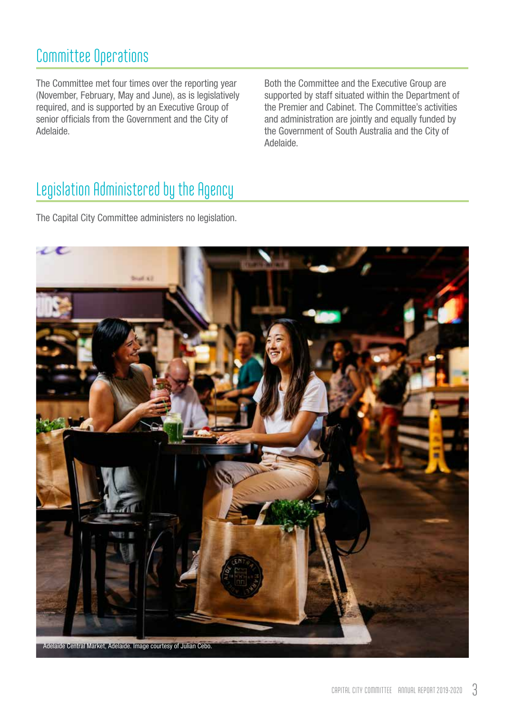## <span id="page-4-0"></span>Committee Operations

The Committee met four times over the reporting year (November, February, May and June), as is legislatively required, and is supported by an Executive Group of senior officials from the Government and the City of Adelaide.

Both the Committee and the Executive Group are supported by staff situated within the Department of the Premier and Cabinet. The Committee's activities and administration are jointly and equally funded by the Government of South Australia and the City of Adelaide.

## Legislation Administered by the Agency

The Capital City Committee administers no legislation.

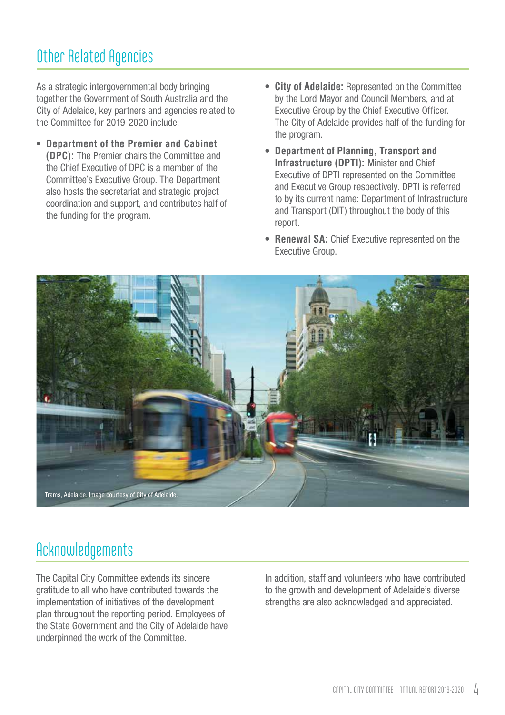## <span id="page-5-0"></span>Other Related Agencies

As a strategic intergovernmental body bringing together the Government of South Australia and the City of Adelaide, key partners and agencies related to the Committee for 2019-2020 include:

- **• Department of the Premier and Cabinet (DPC):** The Premier chairs the Committee and the Chief Executive of DPC is a member of the Committee's Executive Group. The Department also hosts the secretariat and strategic project coordination and support, and contributes half of the funding for the program.
- **• City of Adelaide:** Represented on the Committee by the Lord Mayor and Council Members, and at Executive Group by the Chief Executive Officer. The City of Adelaide provides half of the funding for the program.
- **• Department of Planning, Transport and Infrastructure (DPTI):** Minister and Chief Executive of DPTI represented on the Committee and Executive Group respectively. DPTI is referred to by its current name: Department of Infrastructure and Transport (DIT) throughout the body of this report.
- **• Renewal SA:** Chief Executive represented on the Executive Group.



## Acknowledgements

The Capital City Committee extends its sincere gratitude to all who have contributed towards the implementation of initiatives of the development plan throughout the reporting period. Employees of the State Government and the City of Adelaide have underpinned the work of the Committee.

In addition, staff and volunteers who have contributed to the growth and development of Adelaide's diverse strengths are also acknowledged and appreciated.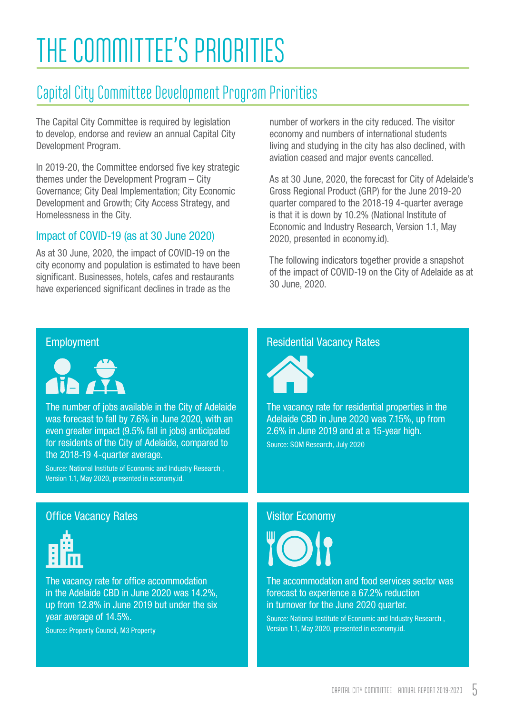## <span id="page-6-0"></span>THE COMMITTEE'S PRIORITIES

## Capital City Committee Development Program Priorities

The Capital City Committee is required by legislation to develop, endorse and review an annual Capital City Development Program.

In 2019-20, the Committee endorsed five key strategic themes under the Development Program – City Governance; City Deal Implementation; City Economic Development and Growth; City Access Strategy, and Homelessness in the City.

#### Impact of COVID-19 (as at 30 June 2020)

As at 30 June, 2020, the impact of COVID-19 on the city economy and population is estimated to have been significant. Businesses, hotels, cafes and restaurants have experienced significant declines in trade as the

number of workers in the city reduced. The visitor economy and numbers of international students living and studying in the city has also declined, with aviation ceased and major events cancelled.

As at 30 June, 2020, the forecast for City of Adelaide's Gross Regional Product (GRP) for the June 2019-20 quarter compared to the 2018-19 4-quarter average is that it is down by 10.2% (National Institute of Economic and Industry Research, Version 1.1, May 2020, presented in economy.id).

The following indicators together provide a snapshot of the impact of COVID-19 on the City of Adelaide as at 30 June, 2020.

#### Employment



The number of jobs available in the City of Adelaide was forecast to fall by 7.6% in June 2020, with an even greater impact (9.5% fall in jobs) anticipated for residents of the City of Adelaide, compared to the 2018-19 4-quarter average.

Source: National Institute of Economic and Industry Research , Version 1.1, May 2020, presented in economy.id.

#### Office Vacancy Rates



The vacancy rate for office accommodation in the Adelaide CBD in June 2020 was 14.2%, up from 12.8% in June 2019 but under the six year average of 14.5%. Source: Property Council, M3 Property

#### Residential Vacancy Rates



The vacancy rate for residential properties in the Adelaide CBD in June 2020 was 7.15%, up from 2.6% in June 2019 and at a 15-year high. Source: SQM Research, July 2020

#### Visitor Economy



The accommodation and food services sector was forecast to experience a 67.2% reduction in turnover for the June 2020 quarter.

Source: National Institute of Economic and Industry Research , Version 1.1, May 2020, presented in economy.id.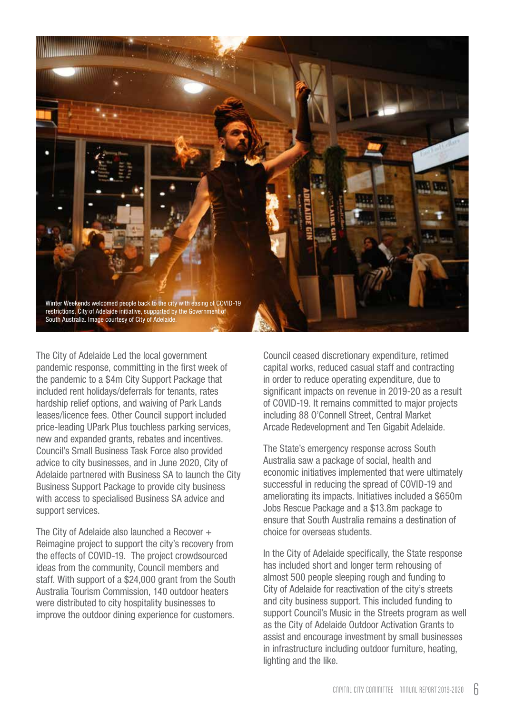

The City of Adelaide Led the local government pandemic response, committing in the first week of the pandemic to a \$4m City Support Package that included rent holidays/deferrals for tenants, rates hardship relief options, and waiving of Park Lands leases/licence fees. Other Council support included price-leading UPark Plus touchless parking services, new and expanded grants, rebates and incentives. Council's Small Business Task Force also provided advice to city businesses, and in June 2020, City of Adelaide partnered with Business SA to launch the City Business Support Package to provide city business with access to specialised Business SA advice and support services.

The City of Adelaide also launched a Recover  $+$ Reimagine project to support the city's recovery from the effects of COVID-19. The project crowdsourced ideas from the community, Council members and staff. With support of a \$24,000 grant from the South Australia Tourism Commission, 140 outdoor heaters were distributed to city hospitality businesses to improve the outdoor dining experience for customers.

Council ceased discretionary expenditure, retimed capital works, reduced casual staff and contracting in order to reduce operating expenditure, due to significant impacts on revenue in 2019-20 as a result of COVID-19. It remains committed to major projects including 88 O'Connell Street, Central Market Arcade Redevelopment and Ten Gigabit Adelaide.

The State's emergency response across South Australia saw a package of social, health and economic initiatives implemented that were ultimately successful in reducing the spread of COVID-19 and ameliorating its impacts. Initiatives included a \$650m Jobs Rescue Package and a \$13.8m package to ensure that South Australia remains a destination of choice for overseas students.

In the City of Adelaide specifically, the State response has included short and longer term rehousing of almost 500 people sleeping rough and funding to City of Adelaide for reactivation of the city's streets and city business support. This included funding to support Council's Music in the Streets program as well as the City of Adelaide Outdoor Activation Grants to assist and encourage investment by small businesses in infrastructure including outdoor furniture, heating, lighting and the like.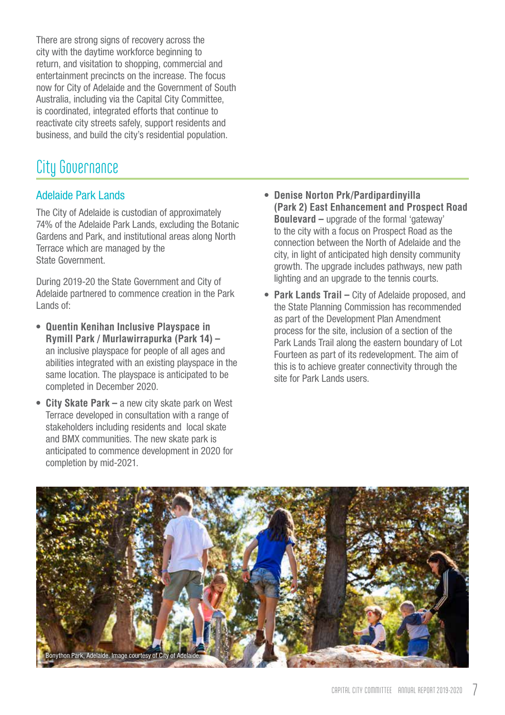<span id="page-8-0"></span>There are strong signs of recovery across the city with the daytime workforce beginning to return, and visitation to shopping, commercial and entertainment precincts on the increase. The focus now for City of Adelaide and the Government of South Australia, including via the Capital City Committee, is coordinated, integrated efforts that continue to reactivate city streets safely, support residents and business, and build the city's residential population.

### City Governance

#### Adelaide Park Lands

The City of Adelaide is custodian of approximately 74% of the Adelaide Park Lands, excluding the Botanic Gardens and Park, and institutional areas along North Terrace which are managed by the State Government.

During 2019-20 the State Government and City of Adelaide partnered to commence creation in the Park Lands of:

- **• Quentin Kenihan Inclusive Playspace in Rymill Park / Murlawirrapurka (Park 14) –** an inclusive playspace for people of all ages and abilities integrated with an existing playspace in the same location. The playspace is anticipated to be completed in December 2020.
- **• City Skate Park** a new city skate park on West Terrace developed in consultation with a range of stakeholders including residents and local skate and BMX communities. The new skate park is anticipated to commence development in 2020 for completion by mid-2021.
- **• Denise Norton Prk/Pardipardinyilla (Park 2) East Enhancement and Prospect Road Boulevard –** upgrade of the formal 'gateway' to the city with a focus on Prospect Road as the connection between the North of Adelaide and the city, in light of anticipated high density community growth. The upgrade includes pathways, new path lighting and an upgrade to the tennis courts.
- **• Park Lands Trail** City of Adelaide proposed, and the State Planning Commission has recommended as part of the Development Plan Amendment process for the site, inclusion of a section of the Park Lands Trail along the eastern boundary of Lot Fourteen as part of its redevelopment. The aim of this is to achieve greater connectivity through the site for Park Lands users.

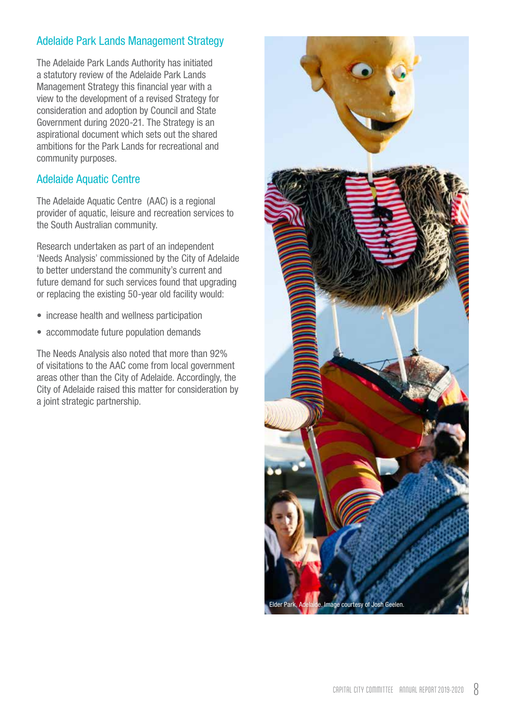#### <span id="page-9-0"></span>Adelaide Park Lands Management Strategy

The Adelaide Park Lands Authority has initiated a statutory review of the Adelaide Park Lands Management Strategy this financial year with a view to the development of a revised Strategy for consideration and adoption by Council and State Government during 2020-21. The Strategy is an aspirational document which sets out the shared ambitions for the Park Lands for recreational and community purposes.

#### Adelaide Aquatic Centre

The Adelaide Aquatic Centre (AAC) is a regional provider of aquatic, leisure and recreation services to the South Australian community.

Research undertaken as part of an independent 'Needs Analysis' commissioned by the City of Adelaide to better understand the community's current and future demand for such services found that upgrading or replacing the existing 50-year old facility would:

- increase health and wellness participation
- accommodate future population demands

The Needs Analysis also noted that more than 92% of visitations to the AAC come from local government areas other than the City of Adelaide. Accordingly, the City of Adelaide raised this matter for consideration by a joint strategic partnership.

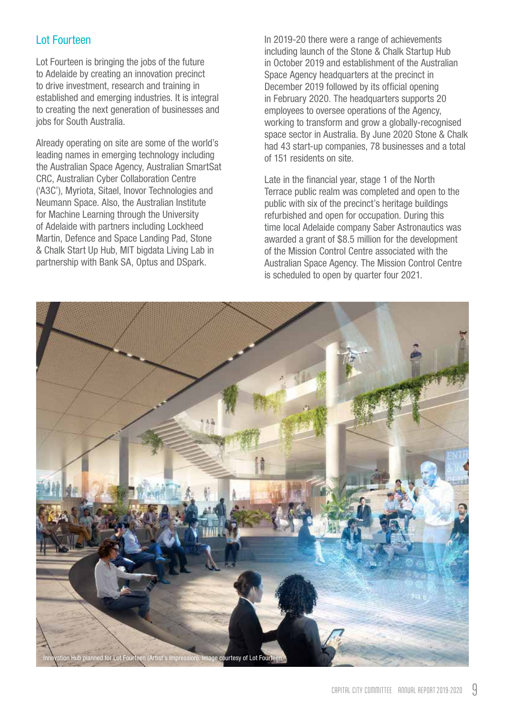#### <span id="page-10-0"></span>Lot Fourteen

Lot Fourteen is bringing the jobs of the future to Adelaide by creating an innovation precinct to drive investment, research and training in established and emerging industries. It is integral to creating the next generation of businesses and jobs for South Australia.

Already operating on site are some of the world's leading names in emerging technology including the Australian Space Agency, Australian SmartSat CRC, Australian Cyber Collaboration Centre ('A3C'), Myriota, Sitael, Inovor Technologies and Neumann Space. Also, the Australian Institute for Machine Learning through the University of Adelaide with partners including Lockheed Martin, Defence and Space Landing Pad, Stone & Chalk Start Up Hub, MIT bigdata Living Lab in partnership with Bank SA, Optus and DSpark.

In 2019-20 there were a range of achievements including launch of the Stone & Chalk Startup Hub in October 2019 and establishment of the Australian Space Agency headquarters at the precinct in December 2019 followed by its official opening in February 2020. The headquarters supports 20 employees to oversee operations of the Agency, working to transform and grow a globally-recognised space sector in Australia. By June 2020 Stone & Chalk had 43 start-up companies, 78 businesses and a total of 151 residents on site.

Late in the financial year, stage 1 of the North Terrace public realm was completed and open to the public with six of the precinct's heritage buildings refurbished and open for occupation. During this time local Adelaide company Saber Astronautics was awarded a grant of \$8.5 million for the development of the Mission Control Centre associated with the Australian Space Agency. The Mission Control Centre is scheduled to open by quarter four 2021.

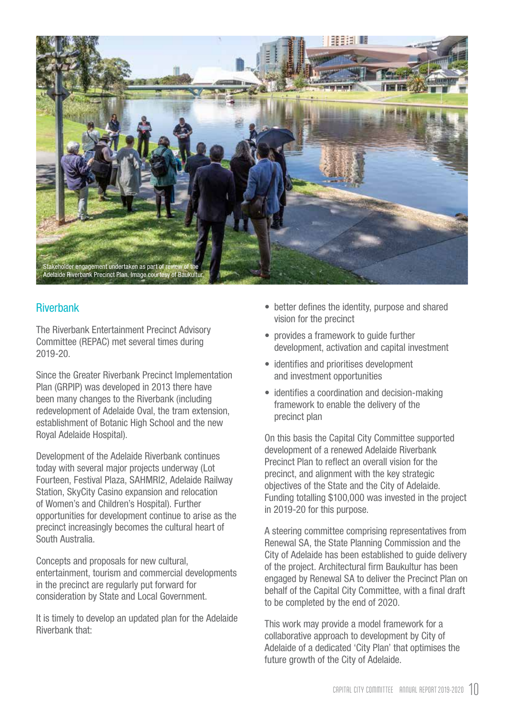<span id="page-11-0"></span>

#### **Riverbank**

The Riverbank Entertainment Precinct Advisory Committee (REPAC) met several times during 2019-20.

Since the Greater Riverbank Precinct Implementation Plan (GRPIP) was developed in 2013 there have been many changes to the Riverbank (including redevelopment of Adelaide Oval, the tram extension, establishment of Botanic High School and the new Royal Adelaide Hospital).

Development of the Adelaide Riverbank continues today with several major projects underway (Lot Fourteen, Festival Plaza, SAHMRI2, Adelaide Railway Station, SkyCity Casino expansion and relocation of Women's and Children's Hospital). Further opportunities for development continue to arise as the precinct increasingly becomes the cultural heart of South Australia.

Concepts and proposals for new cultural, entertainment, tourism and commercial developments in the precinct are regularly put forward for consideration by State and Local Government.

It is timely to develop an updated plan for the Adelaide Riverbank that:

- better defines the identity, purpose and shared vision for the precinct
- provides a framework to guide further development, activation and capital investment
- identifies and prioritises development and investment opportunities
- identifies a coordination and decision-making framework to enable the delivery of the precinct plan

On this basis the Capital City Committee supported development of a renewed Adelaide Riverbank Precinct Plan to reflect an overall vision for the precinct, and alignment with the key strategic objectives of the State and the City of Adelaide. Funding totalling \$100,000 was invested in the project in 2019-20 for this purpose.

A steering committee comprising representatives from Renewal SA, the State Planning Commission and the City of Adelaide has been established to guide delivery of the project. Architectural firm Baukultur has been engaged by Renewal SA to deliver the Precinct Plan on behalf of the Capital City Committee, with a final draft to be completed by the end of 2020.

This work may provide a model framework for a collaborative approach to development by City of Adelaide of a dedicated 'City Plan' that optimises the future growth of the City of Adelaide.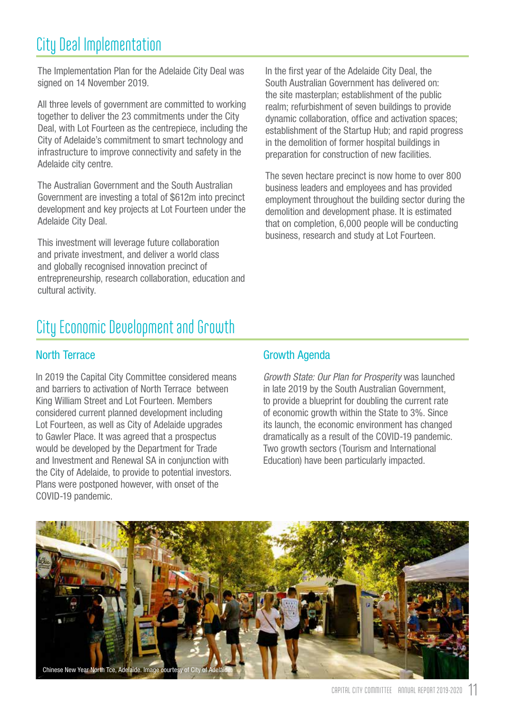## <span id="page-12-0"></span>City Deal Implementation

The Implementation Plan for the Adelaide City Deal was signed on 14 November 2019.

All three levels of government are committed to working together to deliver the 23 commitments under the City Deal, with Lot Fourteen as the centrepiece, including the City of Adelaide's commitment to smart technology and infrastructure to improve connectivity and safety in the Adelaide city centre.

The Australian Government and the South Australian Government are investing a total of \$612m into precinct development and key projects at Lot Fourteen under the Adelaide City Deal.

This investment will leverage future collaboration and private investment, and deliver a world class and globally recognised innovation precinct of entrepreneurship, research collaboration, education and cultural activity.

In the first year of the Adelaide City Deal, the South Australian Government has delivered on: the site masterplan; establishment of the public realm; refurbishment of seven buildings to provide dynamic collaboration, office and activation spaces; establishment of the Startup Hub; and rapid progress in the demolition of former hospital buildings in preparation for construction of new facilities.

The seven hectare precinct is now home to over 800 business leaders and employees and has provided employment throughout the building sector during the demolition and development phase. It is estimated that on completion, 6,000 people will be conducting business, research and study at Lot Fourteen.

## City Economic Development and Growth

#### North Terrace

In 2019 the Capital City Committee considered means and barriers to activation of North Terrace between King William Street and Lot Fourteen. Members considered current planned development including Lot Fourteen, as well as City of Adelaide upgrades to Gawler Place. It was agreed that a prospectus would be developed by the Department for Trade and Investment and Renewal SA in conjunction with the City of Adelaide, to provide to potential investors. Plans were postponed however, with onset of the COVID-19 pandemic.

#### Growth Agenda

Growth State: Our Plan for Prosperity was launched in late 2019 by the South Australian Government, to provide a blueprint for doubling the current rate of economic growth within the State to 3%. Since its launch, the economic environment has changed dramatically as a result of the COVID-19 pandemic. Two growth sectors (Tourism and International Education) have been particularly impacted.

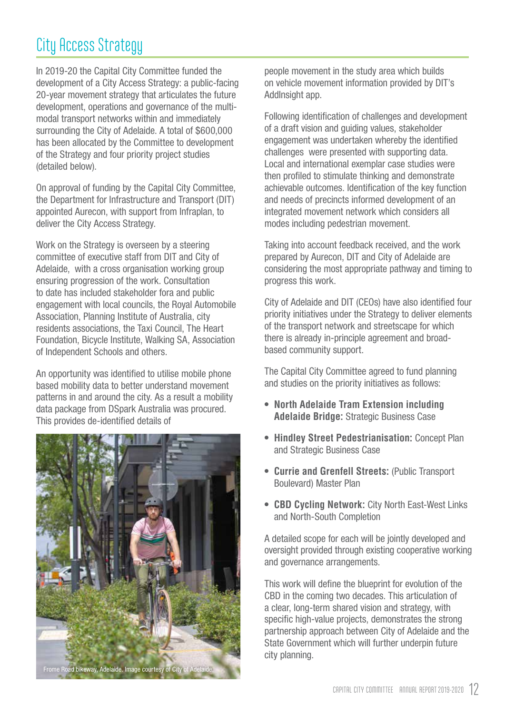## <span id="page-13-0"></span>City Access Strategy

In 2019-20 the Capital City Committee funded the development of a City Access Strategy: a public-facing 20-year movement strategy that articulates the future development, operations and governance of the multimodal transport networks within and immediately surrounding the City of Adelaide. A total of \$600,000 has been allocated by the Committee to development of the Strategy and four priority project studies (detailed below).

On approval of funding by the Capital City Committee, the Department for Infrastructure and Transport (DIT) appointed Aurecon, with support from Infraplan, to deliver the City Access Strategy.

Work on the Strategy is overseen by a steering committee of executive staff from DIT and City of Adelaide, with a cross organisation working group ensuring progression of the work. Consultation to date has included stakeholder fora and public engagement with local councils, the Royal Automobile Association, Planning Institute of Australia, city residents associations, the Taxi Council, The Heart Foundation, Bicycle Institute, Walking SA, Association of Independent Schools and others.

An opportunity was identified to utilise mobile phone based mobility data to better understand movement patterns in and around the city. As a result a mobility data package from DSpark Australia was procured. This provides de-identified details of



people movement in the study area which builds on vehicle movement information provided by DIT's AddInsight app.

Following identification of challenges and development of a draft vision and guiding values, stakeholder engagement was undertaken whereby the identified challenges were presented with supporting data. Local and international exemplar case studies were then profiled to stimulate thinking and demonstrate achievable outcomes. Identification of the key function and needs of precincts informed development of an integrated movement network which considers all modes including pedestrian movement.

Taking into account feedback received, and the work prepared by Aurecon, DIT and City of Adelaide are considering the most appropriate pathway and timing to progress this work.

City of Adelaide and DIT (CEOs) have also identified four priority initiatives under the Strategy to deliver elements of the transport network and streetscape for which there is already in-principle agreement and broadbased community support.

The Capital City Committee agreed to fund planning and studies on the priority initiatives as follows:

- **• North Adelaide Tram Extension including Adelaide Bridge:** Strategic Business Case
- **• Hindley Street Pedestrianisation:** Concept Plan and Strategic Business Case
- **• Currie and Grenfell Streets:** (Public Transport Boulevard) Master Plan
- **• CBD Cycling Network:** City North East-West Links and North-South Completion

A detailed scope for each will be jointly developed and oversight provided through existing cooperative working and governance arrangements.

This work will define the blueprint for evolution of the CBD in the coming two decades. This articulation of a clear, long-term shared vision and strategy, with specific high-value projects, demonstrates the strong partnership approach between City of Adelaide and the State Government which will further underpin future city planning.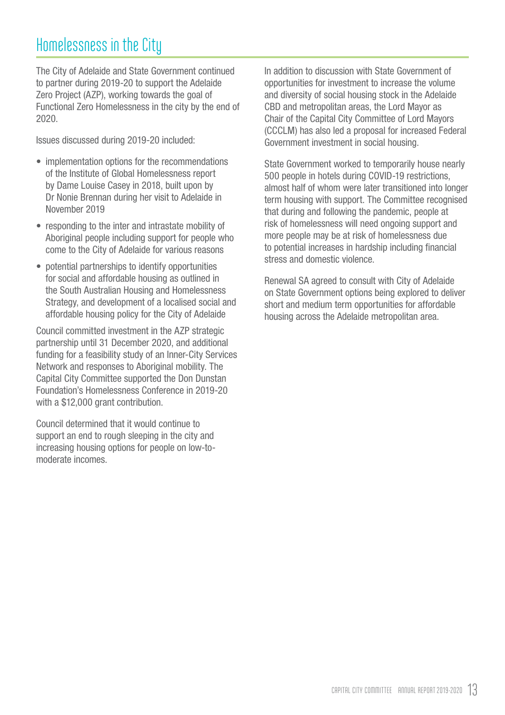## <span id="page-14-0"></span>Homelessness in the City

The City of Adelaide and State Government continued to partner during 2019-20 to support the Adelaide Zero Project (AZP), working towards the goal of Functional Zero Homelessness in the city by the end of 2020.

Issues discussed during 2019-20 included:

- implementation options for the recommendations of the Institute of Global Homelessness report by Dame Louise Casey in 2018, built upon by Dr Nonie Brennan during her visit to Adelaide in November 2019
- responding to the inter and intrastate mobility of Aboriginal people including support for people who come to the City of Adelaide for various reasons
- potential partnerships to identify opportunities for social and affordable housing as outlined in the South Australian Housing and Homelessness Strategy, and development of a localised social and affordable housing policy for the City of Adelaide

Council committed investment in the AZP strategic partnership until 31 December 2020, and additional funding for a feasibility study of an Inner-City Services Network and responses to Aboriginal mobility. The Capital City Committee supported the Don Dunstan Foundation's Homelessness Conference in 2019-20 with a \$12,000 grant contribution.

Council determined that it would continue to support an end to rough sleeping in the city and increasing housing options for people on low-tomoderate incomes.

In addition to discussion with State Government of opportunities for investment to increase the volume and diversity of social housing stock in the Adelaide CBD and metropolitan areas, the Lord Mayor as Chair of the Capital City Committee of Lord Mayors (CCCLM) has also led a proposal for increased Federal Government investment in social housing.

State Government worked to temporarily house nearly 500 people in hotels during COVID-19 restrictions, almost half of whom were later transitioned into longer term housing with support. The Committee recognised that during and following the pandemic, people at risk of homelessness will need ongoing support and more people may be at risk of homelessness due to potential increases in hardship including financial stress and domestic violence.

Renewal SA agreed to consult with City of Adelaide on State Government options being explored to deliver short and medium term opportunities for affordable housing across the Adelaide metropolitan area.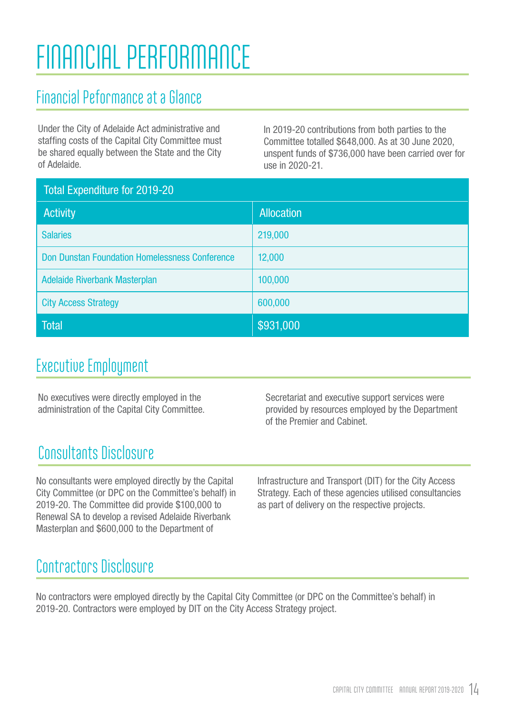## <span id="page-15-0"></span>FINANCIAL PERFORMANCE

## Financial Peformance at a Glance

Under the City of Adelaide Act administrative and staffing costs of the Capital City Committee must be shared equally between the State and the City of Adelaide.

In 2019-20 contributions from both parties to the Committee totalled \$648,000. As at 30 June 2020, unspent funds of \$736,000 have been carried over for use in 2020-21.

| <b>Total Expenditure for 2019-20</b>                  |                   |
|-------------------------------------------------------|-------------------|
| <b>Activity</b>                                       | <b>Allocation</b> |
| <b>Salaries</b>                                       | 219,000           |
| <b>Don Dunstan Foundation Homelessness Conference</b> | 12,000            |
| <b>Adelaide Riverbank Masterplan</b>                  | 100,000           |
| <b>City Access Strategy</b>                           | 600,000           |
| <b>Total</b>                                          | \$931,000         |

## Executive Employment

No executives were directly employed in the administration of the Capital City Committee. Secretariat and executive support services were provided by resources employed by the Department of the Premier and Cabinet.

## Consultants Disclosure

No consultants were employed directly by the Capital City Committee (or DPC on the Committee's behalf) in 2019-20. The Committee did provide \$100,000 to Renewal SA to develop a revised Adelaide Riverbank Masterplan and \$600,000 to the Department of

Infrastructure and Transport (DIT) for the City Access Strategy. Each of these agencies utilised consultancies as part of delivery on the respective projects.

## Contractors Disclosure

No contractors were employed directly by the Capital City Committee (or DPC on the Committee's behalf) in 2019-20. Contractors were employed by DIT on the City Access Strategy project.